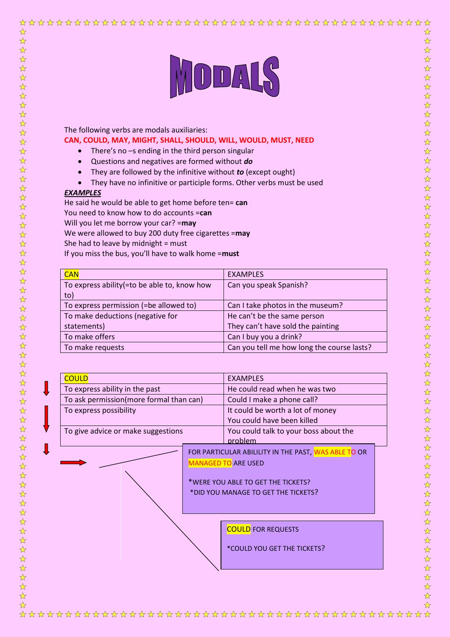# MODALS

The following verbs are modals auxiliaries:

# **CAN, COULD, MAY, MIGHT, SHALL, SHOULD, WILL, WOULD, MUST, NEED**

- There's no -s ending in the third person singular
- Questions and negatives are formed without *do*
- They are followed by the infinitive without *to* (except ought)
- They have no infinitive or participle forms. Other verbs must be used

## *EXAMPLES*

☆

 $\frac{1}{\sqrt{2}}$ 

 $\frac{1}{\mathcal{N}}$ 

2个好

 $\frac{1}{\sqrt{2}}$  $\frac{1}{\sqrt{2}}$  He said he would be able to get home before ten= **can** You need to know how to do accounts =**can** Will you let me borrow your car? =**may** We were allowed to buy 200 duty free cigarettes =**may** She had to leave by midnight = must If you miss the bus, you'll have to walk home =**must**

| <b>CAN</b>                                    | <b>EXAMPLES</b>                            |
|-----------------------------------------------|--------------------------------------------|
| To express ability (= to be able to, know how | Can you speak Spanish?                     |
| to)                                           |                                            |
| To express permission (=be allowed to)        | Can I take photos in the museum?           |
| To make deductions (negative for              | He can't be the same person                |
| statements)                                   | They can't have sold the painting          |
| To make offers                                | Can I buy you a drink?                     |
| To make requests                              | Can you tell me how long the course lasts? |

| <b>COULD</b>                            | <b>EXAMPLES</b>                                                                                                                                                 |  |
|-----------------------------------------|-----------------------------------------------------------------------------------------------------------------------------------------------------------------|--|
| To express ability in the past          | He could read when he was two                                                                                                                                   |  |
| To ask permission(more formal than can) | Could I make a phone call?                                                                                                                                      |  |
| To express possibility                  | It could be worth a lot of money                                                                                                                                |  |
|                                         | You could have been killed                                                                                                                                      |  |
| To give advice or make suggestions      | You could talk to your boss about the<br>problem                                                                                                                |  |
|                                         | FOR PARTICULAR ABILILITY IN THE PAST, WAS ABLE TO OR<br><b>MANAGED TO ARE USED</b><br>*WERE YOU ABLE TO GET THE TICKETS?<br>*DID YOU MANAGE TO GET THE TICKETS? |  |
|                                         | <b>COULD FOR REQUESTS</b><br>*COULD YOU GET THE TICKETS?                                                                                                        |  |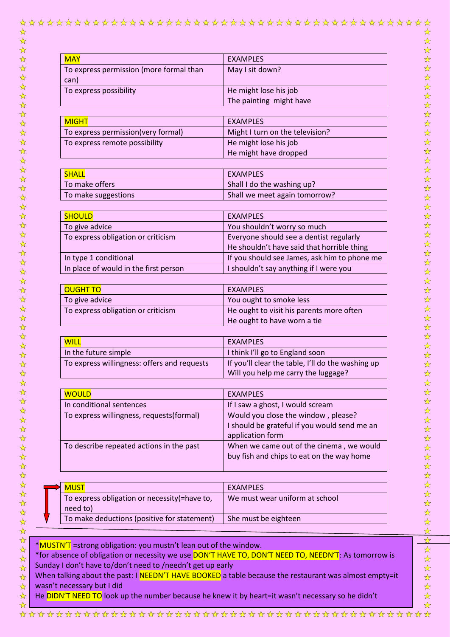$x^2$ 

☆

☆

| <b>MAY</b>                              | <b>EXAMPLES</b>         |
|-----------------------------------------|-------------------------|
| To express permission (more formal than | May I sit down?         |
| can)                                    |                         |
| To express possibility                  | He might lose his job   |
|                                         | The painting might have |
|                                         |                         |
| <b>MICUT</b>                            | EVAMMDI EC              |

| <b>MIGHT</b>                        | EXAMPLES                        |
|-------------------------------------|---------------------------------|
| To express permission (very formal) | Might I turn on the television? |
| To express remote possibility       | He might lose his job           |
|                                     | He might have dropped           |

| SHALL               | <b>EXAMPLES</b>               |
|---------------------|-------------------------------|
| To make offers      | Shall I do the washing up?    |
| To make suggestions | Shall we meet again tomorrow? |

| <b>SHOULD</b>                         | EXAMPLES                                     |
|---------------------------------------|----------------------------------------------|
| To give advice                        | You shouldn't worry so much                  |
| To express obligation or criticism    | Everyone should see a dentist regularly      |
|                                       | He shouldn't have said that horrible thing   |
| In type 1 conditional                 | If you should see James, ask him to phone me |
| In place of would in the first person | I shouldn't say anything if I were you       |

| <b>OUGHT TO</b>                    | <b>EXAMPLES</b>                          |
|------------------------------------|------------------------------------------|
| To give advice                     | You ought to smoke less                  |
| To express obligation or criticism | He ought to visit his parents more often |
|                                    | He ought to have worn a tie              |

| <b>WILL</b>                                 | <b>EXAMPLES</b>                                   |
|---------------------------------------------|---------------------------------------------------|
| In the future simple                        | I think I'll go to England soon                   |
| To express willingness: offers and requests | If you'll clear the table, I'll do the washing up |
|                                             | Will you help me carry the luggage?               |

| <b>WOULD</b>                             | <b>EXAMPLES</b>                                                                                         |
|------------------------------------------|---------------------------------------------------------------------------------------------------------|
| In conditional sentences                 | If I saw a ghost, I would scream                                                                        |
| To express willingness, requests(formal) | Would you close the window, please?<br>I should be grateful if you would send me an<br>application form |
| To describe repeated actions in the past | When we came out of the cinema, we would<br>buy fish and chips to eat on the way home                   |

| <b>MUST</b>                                                | EXAMPLES                       |
|------------------------------------------------------------|--------------------------------|
| To express obligation or necessity (= have to,<br>need to) | We must wear uniform at school |
| To make deductions (positive for statement)                | She must be eighteen           |

\*MUSTN'T =strong obligation: you mustn't lean out of the window.

\*for absence of obligation or necessity we use DON'T HAVE TO, DON'T NEED TO, NEEDN'T: As tomorrow is Sunday I don't have to/don't need to /needn't get up early

When talking about the past: I NEEDN'T HAVE BOOKED a table because the restaurant was almost empty=it wasn't necessary but I did

He DIDN'T NEED TO look up the number because he knew it by heart=it wasn't necessary so he didn't

 $\frac{1}{\mathbf{k}^{\prime}}$ 

 $\frac{1}{\mathbf{k}}$ 

 $\frac{1}{\sqrt{2}}$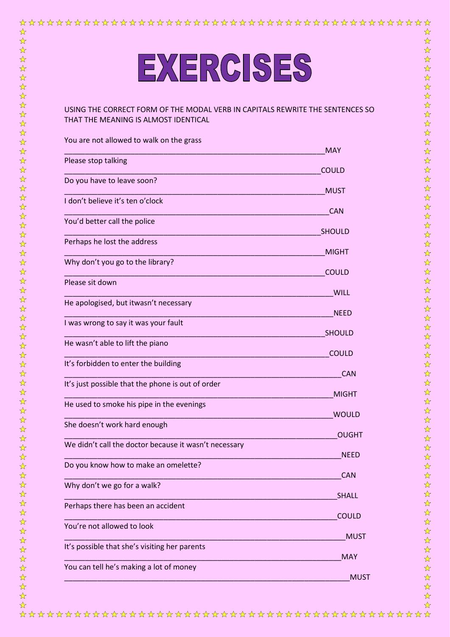# EXERCISES

☆

 $\frac{1}{\sqrt{2}}$ 

 $\frac{1}{\mathcal{N}}$ 

 $\frac{1}{\sqrt{2}}$ 

 $\frac{1}{2}$  $\frac{1}{\sqrt{2}}$ 

 $\frac{1}{\sqrt{2}}$ 

## USING THE CORRECT FORM OF THE MODAL VERB IN CAPITALS REWRITE THE SENTENCES SO THAT THE MEANING IS ALMOST IDENTICAL

| You are not allowed to walk on the grass              | <b>MAY</b>    |
|-------------------------------------------------------|---------------|
| Please stop talking                                   | <b>COULD</b>  |
| Do you have to leave soon?                            |               |
| I don't believe it's ten o'clock                      | <b>MUST</b>   |
|                                                       | <b>CAN</b>    |
| You'd better call the police                          | SHOULD        |
| Perhaps he lost the address                           | <b>MIGHT</b>  |
| Why don't you go to the library?                      | <b>COULD</b>  |
| Please sit down                                       | <b>WILL</b>   |
| He apologised, but itwasn't necessary                 | <b>NEED</b>   |
| I was wrong to say it was your fault                  | <b>SHOULD</b> |
| He wasn't able to lift the piano                      | <b>COULD</b>  |
| It's forbidden to enter the building                  | <b>CAN</b>    |
| It's just possible that the phone is out of order     | <b>MIGHT</b>  |
| He used to smoke his pipe in the evenings             | <b>WOULD</b>  |
| She doesn't work hard enough                          | <b>OUGHT</b>  |
| We didn't call the doctor because it wasn't necessary |               |
| Do you know how to make an omelette?                  | <b>NEED</b>   |
| Why don't we go for a walk?                           | <b>CAN</b>    |
| Perhaps there has been an accident                    | <b>SHALL</b>  |
| You're not allowed to look                            | COULD         |
|                                                       | <b>MUST</b>   |
| It's possible that she's visiting her parents         | <b>MAY</b>    |
| You can tell he's making a lot of money               | <b>MUST</b>   |
|                                                       |               |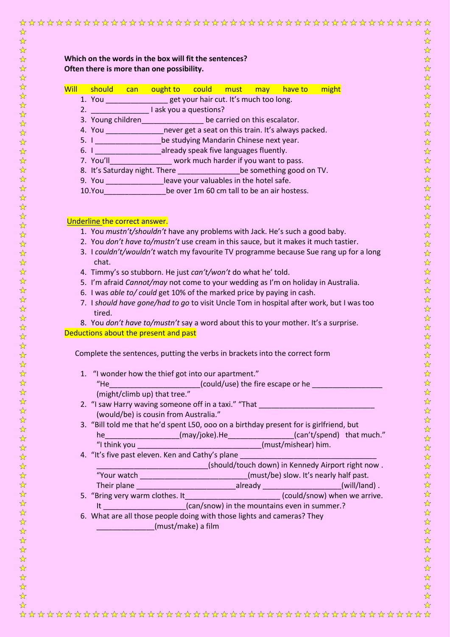| Which on the words in the box will fit the sentences?<br>Often there is more than one possibility.                                                                          |
|-----------------------------------------------------------------------------------------------------------------------------------------------------------------------------|
| Will should can ought to could must may have-to might                                                                                                                       |
| 1. You __________________get your hair cut. It's much too long.                                                                                                             |
| 2. I ask you a questions?                                                                                                                                                   |
| 3. Young children________________ be carried on this escalator.                                                                                                             |
| 4. You ___________________never get a seat on this train. It's always packed.                                                                                               |
| 5. I Sample 2021 be studying Mandarin Chinese next year.                                                                                                                    |
| 6. I ______________________already speak five languages fluently.                                                                                                           |
| 7. You'll work much harder if you want to pass.                                                                                                                             |
| 8. It's Saturday night. There be something good on TV.                                                                                                                      |
| 9. You ________________leave your valuables in the hotel safe.                                                                                                              |
| 10.You be over 1m 60 cm tall to be an air hostess.                                                                                                                          |
|                                                                                                                                                                             |
| Underline the correct answer.<br>1. You mustn't/shouldn't have any problems with Jack. He's such a good baby.                                                               |
| 2. You don't have to/mustn't use cream in this sauce, but it makes it much tastier.                                                                                         |
| 3. I couldn't/wouldn't watch my favourite TV programme because Sue rang up for a long                                                                                       |
| chat.                                                                                                                                                                       |
| 4. Timmy's so stubborn. He just can't/won't do what he' told.                                                                                                               |
| 5. I'm afraid Cannot/may not come to your wedding as I'm on holiday in Australia.                                                                                           |
| 6. I was able to/ could get 10% of the marked price by paying in cash.                                                                                                      |
| 7. I should have gone/had to go to visit Uncle Tom in hospital after work, but I was too                                                                                    |
| tired.                                                                                                                                                                      |
| 8. You don't have to/mustn't say a word about this to your mother. It's a surprise.                                                                                         |
| Deductions about the present and past                                                                                                                                       |
| Complete the sentences, putting the verbs in brackets into the correct form                                                                                                 |
| 1. "I wonder how the thief got into our apartment."                                                                                                                         |
| "He Could/use) the fire escape or he                                                                                                                                        |
| (might/climb up) that tree."                                                                                                                                                |
| 2. "I saw Harry waving someone off in a taxi." "That ___________________________                                                                                            |
| (would/be) is cousin from Australia."                                                                                                                                       |
| 3. "Bill told me that he'd spent L50, ooo on a birthday present for is girlfriend, but                                                                                      |
| he____________________(may/joke).He__________________(can't/spend) that much."                                                                                              |
|                                                                                                                                                                             |
| 4. "It's five past eleven. Ken and Cathy's plane                                                                                                                            |
| _______________________________(should/touch down) in Kennedy Airport right now .                                                                                           |
|                                                                                                                                                                             |
| "Your watch ________________________________(must/be) slow. It's nearly half past.<br>Their plane ________________________________already _____________________(will/land). |
|                                                                                                                                                                             |
| It ______________________(can/snow) in the mountains even in summer.?                                                                                                       |
| 6. What are all those people doing with those lights and cameras? They                                                                                                      |
| (must/make) a film                                                                                                                                                          |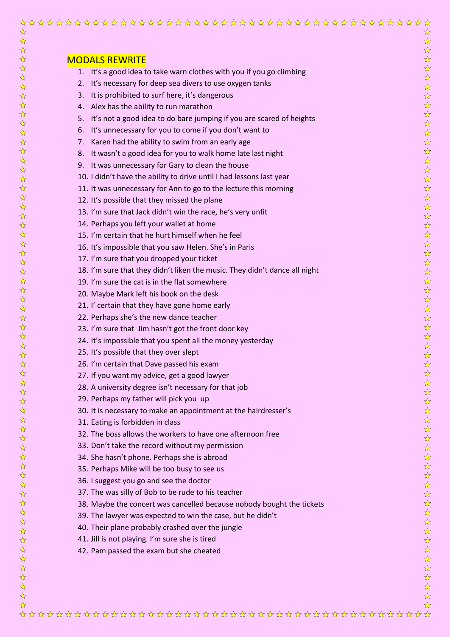| ☆<br>☆                                               |                                                                            | ☆<br>☆                                                      |
|------------------------------------------------------|----------------------------------------------------------------------------|-------------------------------------------------------------|
| $\frac{1}{\sqrt{2}}$                                 |                                                                            | $\frac{1}{\sqrt{2}}$                                        |
| ☆                                                    | <b>MODALS REWRITE</b>                                                      | $\frac{\lambda}{\lambda}$                                   |
| $\frac{1}{\sqrt{2}}$<br>$\frac{1}{\sqrt{2}}$         | 1. It's a good idea to take warn clothes with you if you go climbing       | ☆<br>$\frac{1}{\sqrt{2}}$                                   |
| $\frac{1}{\sqrt{2}}$                                 | 2. It's necessary for deep sea divers to use oxygen tanks                  | $\frac{1}{\sqrt{2}}$                                        |
| $\frac{1}{\lambda}$                                  | It is prohibited to surf here, it's dangerous<br>3.                        | ☆                                                           |
| $\frac{1}{\sqrt{2}}$                                 | 4. Alex has the ability to run marathon                                    | $\frac{1}{\sqrt{2}}$                                        |
| ☆                                                    | 5. It's not a good idea to do bare jumping if you are scared of heights    | ☆                                                           |
| ☆<br>☆                                               | 6. It's unnecessary for you to come if you don't want to                   | ☆<br>☆                                                      |
| ☆                                                    | Karen had the ability to swim from an early age<br>7.                      | ☆                                                           |
| ☆                                                    | 8. It wasn't a good idea for you to walk home late last night              | ☆                                                           |
| ☆                                                    | 9. It was unnecessary for Gary to clean the house                          | ☆                                                           |
| $\frac{1}{\sqrt{2}}$<br>$\frac{\lambda}{\lambda}$    | 10. I didn't have the ability to drive until I had lessons last year       | ☆<br>$\frac{1}{\sqrt{2}}$                                   |
| $\frac{\lambda}{\lambda}$                            | 11. It was unnecessary for Ann to go to the lecture this morning           | ☆                                                           |
| $\frac{1}{\sqrt{2}}$                                 | 12. It's possible that they missed the plane                               | $\frac{1}{\sqrt{2}}$                                        |
| $\frac{1}{\mathcal{N}}$                              | 13. I'm sure that Jack didn't win the race, he's very unfit                | $\frac{1}{\sqrt{2}}$                                        |
| $\frac{1}{\sqrt{2}}$<br>$\frac{1}{\sqrt{2}}$         | 14. Perhaps you left your wallet at home                                   | $\frac{1}{\sqrt{2}}$<br>$\frac{1}{\sqrt{2}}$                |
| $\frac{1}{\sqrt{2}}$                                 | 15. I'm certain that he hurt himself when he feel                          | $\frac{1}{\mathbf{k}^2}$                                    |
| $\frac{\lambda}{\lambda}$                            | 16. It's impossible that you saw Helen. She's in Paris                     | $\frac{1}{\mathcal{N}}$                                     |
| $\frac{1}{\sqrt{2}}$                                 | 17. I'm sure that you dropped your ticket                                  | $\frac{\lambda}{\lambda}$                                   |
| $\frac{1}{\lambda}$                                  | 18. I'm sure that they didn't liken the music. They didn't dance all night | $\frac{\lambda}{\lambda}$                                   |
| ☆<br>$\frac{1}{\sqrt{2}}$                            | 19. I'm sure the cat is in the flat somewhere                              | $\frac{1}{\sqrt{2}}$<br>$\frac{1}{\sqrt{2}}$                |
| ☆                                                    |                                                                            | $\frac{1}{\sqrt{2}}$                                        |
| ☆                                                    | 20. Maybe Mark left his book on the desk                                   | $\frac{1}{\mathcal{N}}$                                     |
| $\frac{1}{\sqrt{2}}$                                 | 21. I' certain that they have gone home early                              | $\frac{1}{\sqrt{2}}$                                        |
| $\frac{1}{\sqrt{2}}$<br>☆                            | 22. Perhaps she's the new dance teacher                                    | $\frac{1}{\sqrt{2}}$<br>$\frac{1}{\sqrt{2}}$                |
| ☆                                                    | 23. I'm sure that Jim hasn't got the front door key                        | $\frac{1}{\sqrt{2}}$                                        |
| ☆                                                    | 24. It's impossible that you spent all the money yesterday                 | ☆                                                           |
| ☆                                                    | 25. It's possible that they over slept                                     | ☆                                                           |
| ☆                                                    | 26. I'm certain that Dave passed his exam                                  | ☆                                                           |
| ☆<br>☆                                               | 27. If you want my advice, get a good lawyer                               | ☆<br>$\frac{1}{\sqrt{2}}$                                   |
| $\frac{1}{\sqrt{2}}$                                 | 28. A university degree isn't necessary for that job                       | ☆                                                           |
| $\frac{1}{\sqrt{2}}$                                 | 29. Perhaps my father will pick you up                                     | ☆                                                           |
| ☆                                                    | 30. It is necessary to make an appointment at the hairdresser's            | ☆                                                           |
| $\frac{\lambda}{\lambda}$<br>$\frac{1}{\mathcal{N}}$ | 31. Eating is forbidden in class                                           | $\frac{1}{\sqrt{2}}$<br>☆                                   |
| $\frac{1}{\mathcal{N}}$                              | 32. The boss allows the workers to have one afternoon free                 | $\frac{1}{\mathcal{N}}$                                     |
| $\frac{1}{\sqrt{2}}$                                 | 33. Don't take the record without my permission                            | $\frac{1}{\mathcal{N}}$                                     |
| $\frac{\lambda}{\lambda}$                            | 34. She hasn't phone. Perhaps she is abroad                                | $\frac{1}{\mathcal{N}}$                                     |
| $\frac{\lambda}{\lambda}$                            | 35. Perhaps Mike will be too busy to see us                                | $\frac{1}{\mathcal{N}}$                                     |
| $\frac{1}{\sqrt{2}}$<br>☆                            | 36. I suggest you go and see the doctor                                    | $\frac{1}{\mathbf{k}^2}$<br>$\frac{1}{\mathbf{k}^{\prime}}$ |
| $\frac{1}{\sqrt{2}}$                                 | 37. The was silly of Bob to be rude to his teacher                         | $\frac{1}{\sqrt{2}}$                                        |
| $\frac{1}{\sqrt{2}}$                                 | 38. Maybe the concert was cancelled because nobody bought the tickets      | $\frac{1}{\sqrt{2}}$                                        |
| ☆                                                    | 39. The lawyer was expected to win the case, but he didn't                 | $\frac{1}{\mathcal{N}}$                                     |
| ☆                                                    | 40. Their plane probably crashed over the jungle                           | $\frac{1}{\sqrt{2}}$                                        |
| $\frac{\lambda}{\lambda}$<br>$\frac{1}{\sqrt{2}}$    | 41. Jill is not playing. I'm sure she is tired                             | $\frac{1}{\mathcal{N}}$<br>$\frac{1}{\mathcal{N}}$          |
| $\frac{1}{\sqrt{2}}$                                 | 42. Pam passed the exam but she cheated                                    | ☆                                                           |
| $\frac{1}{\lambda}$                                  |                                                                            | $\frac{1}{\mathcal{N}}$                                     |
| ☆                                                    |                                                                            | $\frac{1}{\sqrt{2}}$                                        |
| ☆<br>☆                                               |                                                                            | $\frac{1}{\sqrt{2}}$<br>$\frac{1}{\lambda}$                 |
| ☆                                                    |                                                                            | $\frac{1}{\sqrt{2}}$                                        |
| ☆                                                    |                                                                            | ☆                                                           |
|                                                      |                                                                            |                                                             |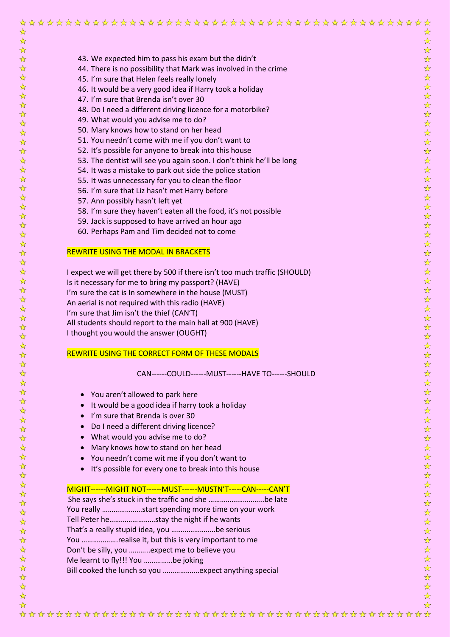| ☆                                                 |                                                                            | ☆                                                 |
|---------------------------------------------------|----------------------------------------------------------------------------|---------------------------------------------------|
| $\frac{1}{\mathcal{N}}$                           |                                                                            | $\frac{1}{\sqrt{2}}$                              |
| $\frac{1}{\mathcal{N}}$                           |                                                                            | $\stackrel{\wedge}{\bowtie}$                      |
| $\frac{1}{\sqrt{2}}$                              | 43. We expected him to pass his exam but the didn't                        | $\frac{1}{\sqrt{2}}$                              |
| $\frac{1}{\sqrt{2}}$                              | 44. There is no possibility that Mark was involved in the crime            | $\frac{\sqrt{\lambda}}{\lambda}$                  |
| $\frac{1}{\sqrt{2}}$                              | 45. I'm sure that Helen feels really lonely                                | $\frac{1}{\sqrt{2}}$                              |
| $\frac{1}{\sqrt{2}}$<br>$\frac{1}{\sqrt{2}}$      | 46. It would be a very good idea if Harry took a holiday                   | $\frac{1}{\sqrt{2}}$<br>$\frac{\lambda}{\lambda}$ |
| $\frac{1}{\sqrt{2}}$                              | 47. I'm sure that Brenda isn't over 30                                     | $\frac{\lambda}{\lambda}$                         |
| $\frac{1}{\sqrt{2}}$                              | 48. Do I need a different driving licence for a motorbike?                 | $\frac{1}{\sqrt{2}}$                              |
| $\frac{1}{\sqrt{2}}$                              | 49. What would you advise me to do?                                        | $\frac{\lambda}{\lambda}$                         |
| ☆                                                 | 50. Mary knows how to stand on her head                                    | $\frac{1}{\sqrt{2}}$                              |
| $\frac{1}{\sqrt{2}}$                              | 51. You needn't come with me if you don't want to                          | $\frac{1}{\sqrt{2}}$                              |
| $\frac{1}{\sqrt{2}}$                              | 52. It's possible for anyone to break into this house                      | $\frac{1}{\sqrt{2}}$                              |
| $\frac{1}{\sqrt{2}}$                              | 53. The dentist will see you again soon. I don't think he'll be long       | $\frac{\sqrt{\lambda}}{\lambda}$                  |
| $\frac{1}{\sqrt{2}}$                              | 54. It was a mistake to park out side the police station                   | $\frac{1}{\sqrt{2}}$                              |
| $\frac{\lambda}{\lambda}$                         | 55. It was unnecessary for you to clean the floor                          | $\frac{1}{\sqrt{2}}$                              |
| $\frac{1}{\mathcal{N}}$                           | 56. I'm sure that Liz hasn't met Harry before                              | $\frac{1}{\sqrt{2}}$                              |
| $\frac{\lambda}{\lambda'}$                        | 57. Ann possibly hasn't left yet                                           | $\frac{1}{\sqrt{2}}$                              |
| ☆                                                 | 58. I'm sure they haven't eaten all the food, it's not possible            | $\frac{1}{\sqrt{2}}$                              |
| $\frac{1}{\sqrt{2}}$                              | 59. Jack is supposed to have arrived an hour ago                           | $\frac{1}{\sqrt{2}}$                              |
| $\frac{1}{\sqrt{2}}$                              | 60. Perhaps Pam and Tim decided not to come                                | $\frac{1}{\sqrt{2}}$                              |
| $\frac{\lambda}{\lambda}$<br>$\frac{1}{\sqrt{2}}$ |                                                                            | $\frac{1}{\sqrt{2}}$<br>$\frac{1}{\sqrt{2}}$      |
| $\frac{1}{\sqrt{2}}$                              | <b>REWRITE USING THE MODAL IN BRACKETS</b>                                 | $\frac{1}{\sqrt{2}}$                              |
| $\frac{1}{\sqrt{2}}$                              |                                                                            | $\frac{\sqrt{\lambda}}{\lambda}$                  |
| $\frac{1}{\sqrt{2}}$                              | I expect we will get there by 500 if there isn't too much traffic (SHOULD) | $\frac{1}{\sqrt{2}}$                              |
| $\frac{1}{\sqrt{2}}$                              | Is it necessary for me to bring my passport? (HAVE)                        | $\frac{1}{\sqrt{2}}$                              |
| $\frac{1}{\sqrt{2}}$                              | I'm sure the cat is In somewhere in the house (MUST)                       | $\frac{1}{\sqrt{2}}$                              |
| $\frac{1}{\mathcal{N}}$                           | An aerial is not required with this radio (HAVE)                           | $\frac{1}{\sqrt{2}}$                              |
| $\frac{1}{\mathcal{N}}$                           | I'm sure that Jim isn't the thief (CAN'T)                                  | $\frac{1}{\sqrt{2}}$                              |
| $\frac{1}{\mathcal{N}}$                           | All students should report to the main hall at 900 (HAVE)                  | $\frac{\lambda}{\lambda}$                         |
| ☆                                                 | I thought you would the answer (OUGHT)                                     | $\frac{\sqrt{\gamma}}{\gamma}$                    |
| ☆                                                 |                                                                            | $\frac{\lambda}{\lambda}$                         |
| ☆                                                 | REWRITE USING THE CORRECT FORM OF THESE MODALS                             | $\frac{\lambda}{\lambda}$                         |
| ☆                                                 |                                                                            | $\frac{1}{\sqrt{2}}$<br>$\frac{1}{\sqrt{2}}$      |
| $\frac{1}{\sqrt{2}}$<br>$\frac{\lambda}{\lambda}$ | CAN------COULD------MUST------HAVE TO------SHOULD                          | ☆                                                 |
| $\frac{\lambda}{\lambda}$                         |                                                                            | $\frac{1}{\sqrt{2}}$                              |
| $\frac{\lambda}{\lambda'}$                        |                                                                            | $\frac{1}{\sqrt{2}}$                              |
| $\frac{\lambda}{\lambda}$                         | You aren't allowed to park here                                            | ☆                                                 |
| $\frac{1}{\sqrt{2}}$                              | It would be a good idea if harry took a holiday                            | $\frac{1}{\sqrt{2}}$                              |
| $\frac{\lambda}{\lambda}$                         | I'm sure that Brenda is over 30<br>$\bullet$                               | $\frac{1}{\sqrt{2}}$                              |
| $\frac{1}{\sqrt{2}}$                              | Do I need a different driving licence?                                     | $\frac{1}{\sqrt{2}}$                              |
| $\frac{1}{\sqrt{2}}$                              | What would you advise me to do?                                            | $\frac{1}{\sqrt{2}}$                              |
| $\frac{\lambda}{\lambda}$                         | Mary knows how to stand on her head<br>$\bullet$                           | $\frac{1}{\sqrt{2}}$                              |
| ☆                                                 | You needn't come wit me if you don't want to                               | $\frac{1}{\sqrt{2}}$                              |
| $\frac{\lambda}{\lambda'}$                        | It's possible for every one to break into this house                       | $\frac{1}{\sqrt{2}}$                              |
| $\frac{\lambda}{\lambda}$                         |                                                                            | ☆                                                 |
| $\frac{1}{\sqrt{2}}$                              | MIGHT------MIGHT NOT------MUST------MUSTN'T-----CAN-----CAN'T              | $\frac{1}{\sqrt{2}}$                              |
| $\frac{1}{\sqrt{2}}$<br>$\frac{1}{\sqrt{2}}$      | She says she's stuck in the traffic and she be late                        | $\frac{1}{\sqrt{2}}$<br>$\frac{1}{\sqrt{2}}$      |
| $\frac{1}{\mathcal{N}}$                           | You really start spending more time on your work                           | $\frac{1}{\sqrt{2}}$                              |
| $\frac{1}{\sqrt{2}}$                              | Tell Peter hestay the night if he wants                                    | $\frac{\lambda}{\lambda^{\prime}}$                |
| $\frac{1}{\mathcal{N}}$                           | That's a really stupid idea, you be serious                                | $\frac{\lambda}{\lambda}$                         |
| $\frac{1}{\mathcal{N}}$                           | You realise it, but this is very important to me                           | $\frac{\lambda}{\lambda}$                         |
| $\frac{1}{\sqrt{2}}$                              | Don't be silly, you expect me to believe you                               | $\frac{\lambda}{\lambda}$                         |
| $\frac{1}{\sqrt{2}}$                              | Me learnt to fly!!! You be joking                                          | $\frac{\lambda}{\lambda}$                         |
| ☆                                                 |                                                                            | $\frac{\lambda}{\lambda}$                         |
| $\frac{1}{\sqrt{2}}$                              |                                                                            | $\frac{\lambda}{\lambda}$                         |
| $\frac{\lambda}{\lambda}$                         |                                                                            | $\frac{\lambda}{\lambda}$                         |
| $\frac{1}{2}$                                     |                                                                            | $\frac{\lambda}{\lambda}$                         |
| ے۔                                                |                                                                            | $\overline{\phantom{a}}$                          |